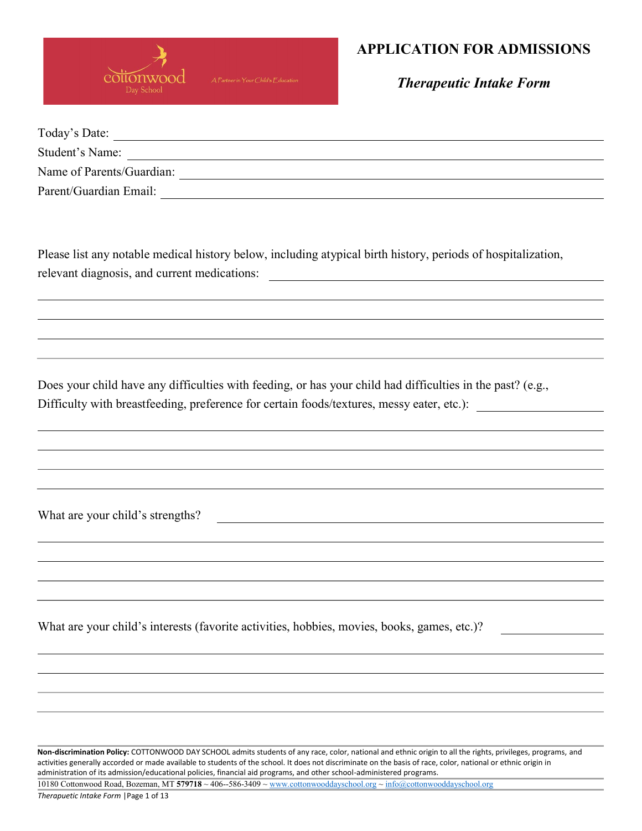

Therapeutic Intake Form

| Today's Date:             |  |
|---------------------------|--|
| Student's Name:           |  |
| Name of Parents/Guardian: |  |
| Parent/Guardian Email:    |  |

Please list any notable medical history below, including atypical birth history, periods of hospitalization, relevant diagnosis, and current medications:

Does your child have any difficulties with feeding, or has your child had difficulties in the past? (e.g., Difficulty with breastfeeding, preference for certain foods/textures, messy eater, etc.):

What are your child's strengths?

What are your child's interests (favorite activities, hobbies, movies, books, games, etc.)?

Non-discrimination Policy: COTTONWOOD DAY SCHOOL admits students of any race, color, national and ethnic origin to all the rights, privileges, programs, and activities generally accorded or made available to students of the school. It does not discriminate on the basis of race, color, national or ethnic origin in administration of its admission/educational policies, financial aid programs, and other school-administered programs.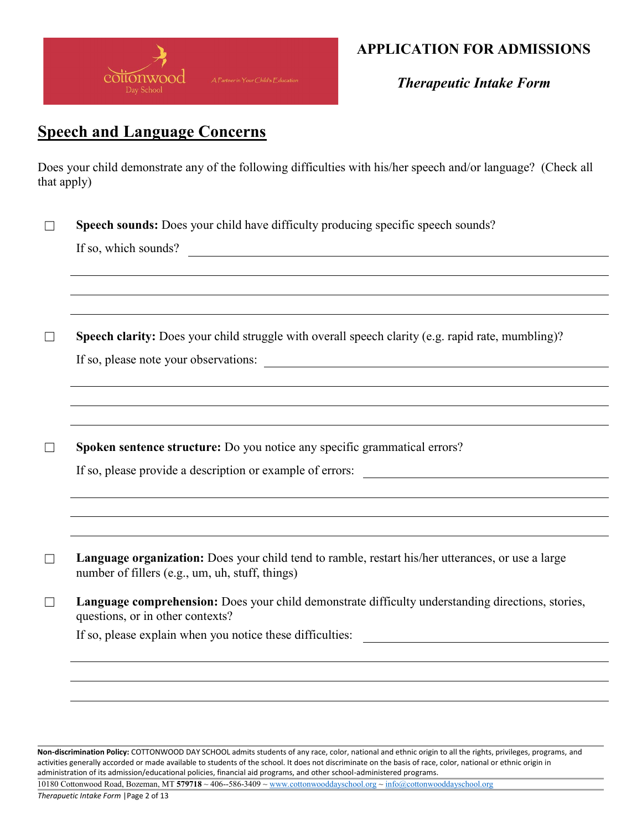

Therapeutic Intake Form

# Speech and Language Concerns

Does your child demonstrate any of the following difficulties with his/her speech and/or language? (Check all that apply)

|         | Speech sounds: Does your child have difficulty producing specific speech sounds?                                                                     |
|---------|------------------------------------------------------------------------------------------------------------------------------------------------------|
|         | If so, which sounds?<br><u> 1980 - Jan Samuel Barbara, margaret eta biztanleria (h. 1980).</u>                                                       |
|         |                                                                                                                                                      |
|         |                                                                                                                                                      |
| $\Box$  | Speech clarity: Does your child struggle with overall speech clarity (e.g. rapid rate, mumbling)?                                                    |
|         | If so, please note your observations:                                                                                                                |
|         |                                                                                                                                                      |
|         |                                                                                                                                                      |
|         |                                                                                                                                                      |
| $\Box$  | Spoken sentence structure: Do you notice any specific grammatical errors?                                                                            |
|         | If so, please provide a description or example of errors:                                                                                            |
|         |                                                                                                                                                      |
|         |                                                                                                                                                      |
| $\perp$ | Language organization: Does your child tend to ramble, restart his/her utterances, or use a large<br>number of fillers (e.g., um, uh, stuff, things) |
|         | Language comprehension: Does your child demonstrate difficulty understanding directions, stories,<br>questions, or in other contexts?                |
|         |                                                                                                                                                      |
|         |                                                                                                                                                      |
|         |                                                                                                                                                      |
|         |                                                                                                                                                      |

Non-discrimination Policy: COTTONWOOD DAY SCHOOL admits students of any race, color, national and ethnic origin to all the rights, privileges, programs, and activities generally accorded or made available to students of the school. It does not discriminate on the basis of race, color, national or ethnic origin in administration of its admission/educational policies, financial aid programs, and other school-administered programs.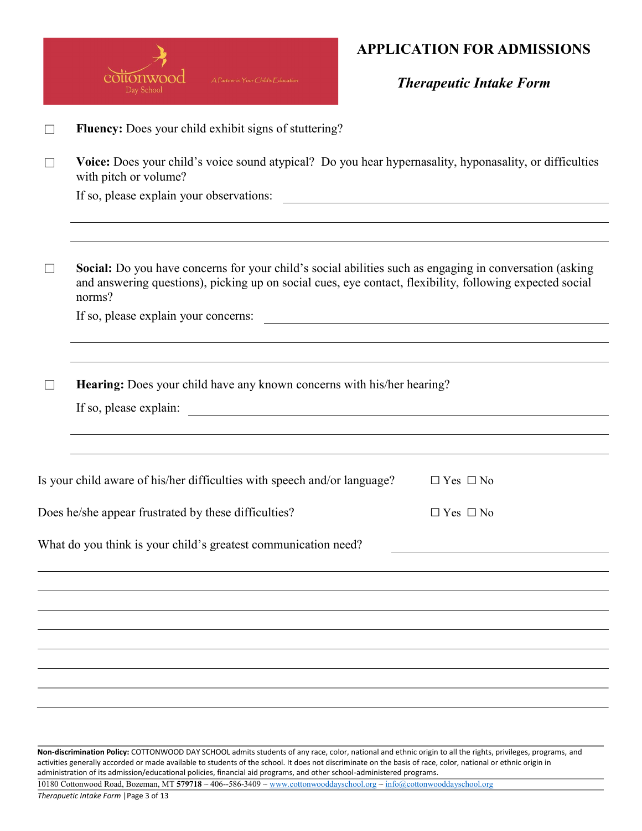

Therapeutic Intake Form

|                   | Fluency: Does your child exhibit signs of stuttering?                                                                                                                                                                         |                                                           |  |  |  |  |
|-------------------|-------------------------------------------------------------------------------------------------------------------------------------------------------------------------------------------------------------------------------|-----------------------------------------------------------|--|--|--|--|
| $\Box$            | Voice: Does your child's voice sound atypical? Do you hear hypernasality, hyponasality, or difficulties<br>with pitch or volume?                                                                                              |                                                           |  |  |  |  |
|                   | If so, please explain your observations:                                                                                                                                                                                      | <u> 1980 - John Stein, Amerikaansk politiker († 1908)</u> |  |  |  |  |
|                   |                                                                                                                                                                                                                               |                                                           |  |  |  |  |
| $\vert \ \ \vert$ | Social: Do you have concerns for your child's social abilities such as engaging in conversation (asking<br>and answering questions), picking up on social cues, eye contact, flexibility, following expected social<br>norms? |                                                           |  |  |  |  |
|                   | If so, please explain your concerns:                                                                                                                                                                                          |                                                           |  |  |  |  |
|                   |                                                                                                                                                                                                                               |                                                           |  |  |  |  |
|                   | Hearing: Does your child have any known concerns with his/her hearing?                                                                                                                                                        |                                                           |  |  |  |  |
|                   |                                                                                                                                                                                                                               |                                                           |  |  |  |  |
|                   |                                                                                                                                                                                                                               |                                                           |  |  |  |  |
|                   | Is your child aware of his/her difficulties with speech and/or language?                                                                                                                                                      | $\Box$ Yes $\Box$ No                                      |  |  |  |  |
|                   | Does he/she appear frustrated by these difficulties?                                                                                                                                                                          | $\Box$ Yes $\Box$ No                                      |  |  |  |  |
|                   | What do you think is your child's greatest communication need?                                                                                                                                                                |                                                           |  |  |  |  |
|                   |                                                                                                                                                                                                                               |                                                           |  |  |  |  |
|                   |                                                                                                                                                                                                                               |                                                           |  |  |  |  |
|                   |                                                                                                                                                                                                                               |                                                           |  |  |  |  |
|                   |                                                                                                                                                                                                                               |                                                           |  |  |  |  |
|                   |                                                                                                                                                                                                                               |                                                           |  |  |  |  |
|                   |                                                                                                                                                                                                                               |                                                           |  |  |  |  |
|                   |                                                                                                                                                                                                                               |                                                           |  |  |  |  |
|                   |                                                                                                                                                                                                                               |                                                           |  |  |  |  |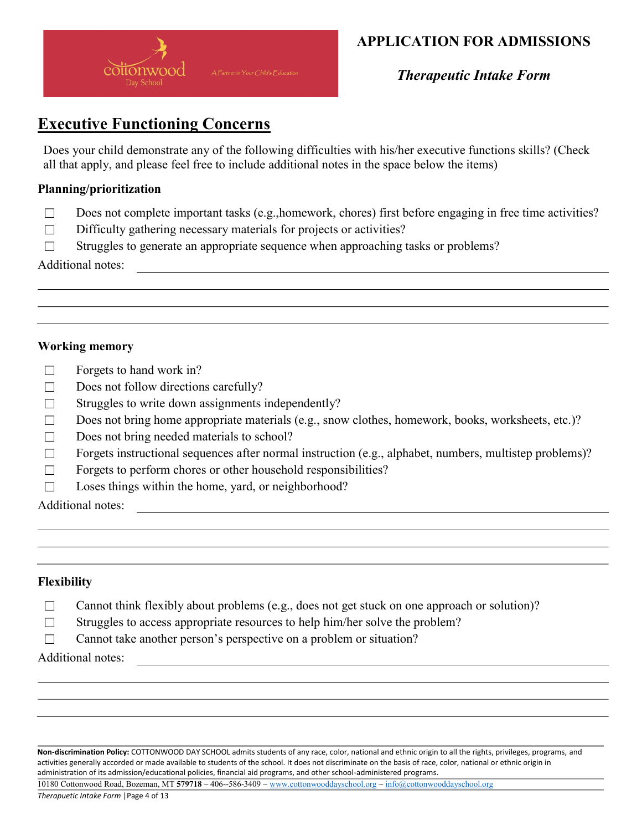

Therapeutic Intake Form

# Executive Functioning Concerns

Does your child demonstrate any of the following difficulties with his/her executive functions skills? (Check all that apply, and please feel free to include additional notes in the space below the items)

### Planning/prioritization

- ☐ Does not complete important tasks (e.g.,homework, chores) first before engaging in free time activities?
- $\Box$  Difficulty gathering necessary materials for projects or activities?
- □ Struggles to generate an appropriate sequence when approaching tasks or problems?

Additional notes:

### Working memory

- $\Box$  Forgets to hand work in?
- □ Does not follow directions carefully?
- ☐ Struggles to write down assignments independently?
- ☐ Does not bring home appropriate materials (e.g., snow clothes, homework, books, worksheets, etc.)?
- $\Box$  Does not bring needed materials to school?
- $\Box$  Forgets instructional sequences after normal instruction (e.g., alphabet, numbers, multistep problems)?
- $\Box$  Forgets to perform chores or other household responsibilities?
- $\Box$  Loses things within the home, yard, or neighborhood?

Additional notes:

### Flexibility

- ☐ Cannot think flexibly about problems (e.g., does not get stuck on one approach or solution)?
- □ Struggles to access appropriate resources to help him/her solve the problem?
- □ Cannot take another person's perspective on a problem or situation?

Additional notes:

Non-discrimination Policy: COTTONWOOD DAY SCHOOL admits students of any race, color, national and ethnic origin to all the rights, privileges, programs, and activities generally accorded or made available to students of the school. It does not discriminate on the basis of race, color, national or ethnic origin in administration of its admission/educational policies, financial aid programs, and other school-administered programs.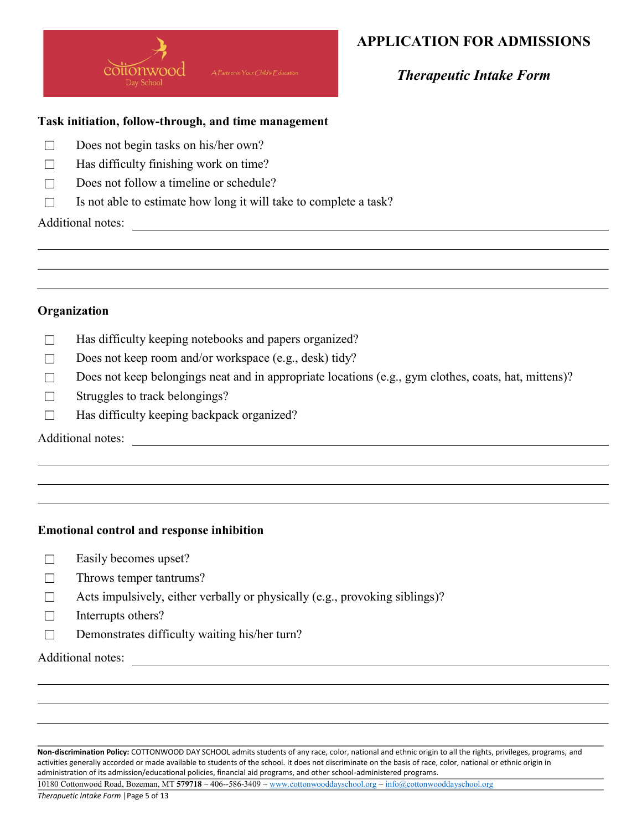

Therapeutic Intake Form

#### Task initiation, follow-through, and time management

- □ Does not begin tasks on his/her own?
- $\Box$  Has difficulty finishing work on time?
- $\Box$  Does not follow a timeline or schedule?
- $\Box$  Is not able to estimate how long it will take to complete a task?

Additional notes:

#### Organization

- □ Has difficulty keeping notebooks and papers organized?
- □ Does not keep room and/or workspace (e.g., desk) tidy?
- $\Box$  Does not keep belongings neat and in appropriate locations (e.g., gym clothes, coats, hat, mittens)?
- $\Box$  Struggles to track belongings?
- $\Box$  Has difficulty keeping backpack organized?

#### Additional notes:

### Emotional control and response inhibition

- □ Easily becomes upset?
- $\Box$  Throws temper tantrums?
- $\Box$  Acts impulsively, either verbally or physically (e.g., provoking siblings)?
- $\Box$  Interrupts others?
- □ Demonstrates difficulty waiting his/her turn?

Additional notes:

Non-discrimination Policy: COTTONWOOD DAY SCHOOL admits students of any race, color, national and ethnic origin to all the rights, privileges, programs, and activities generally accorded or made available to students of the school. It does not discriminate on the basis of race, color, national or ethnic origin in administration of its admission/educational policies, financial aid programs, and other school-administered programs.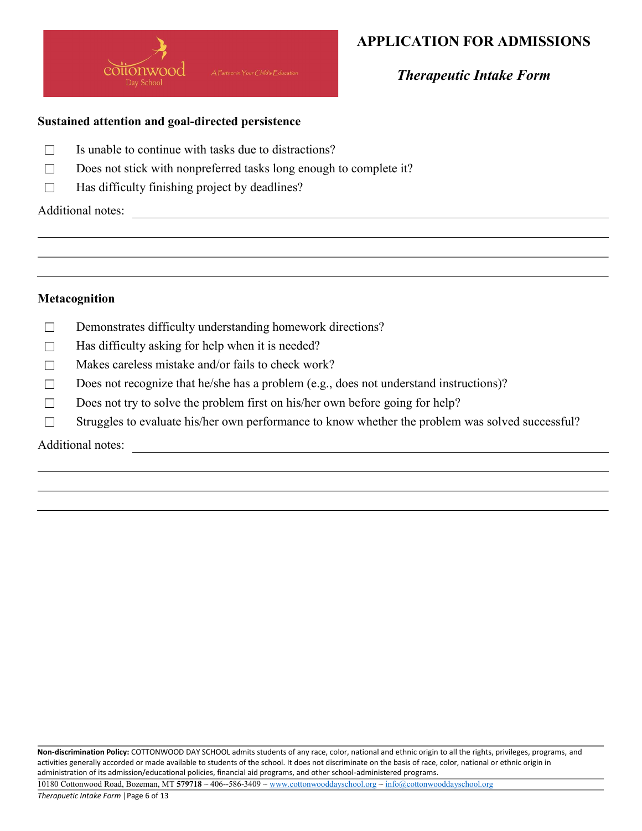

Therapeutic Intake Form

### Sustained attention and goal-directed persistence

- $\Box$  Is unable to continue with tasks due to distractions?
- $\Box$  Does not stick with nonpreferred tasks long enough to complete it?
- $\Box$  Has difficulty finishing project by deadlines?

Additional notes:

### Metacognition

- □ Demonstrates difficulty understanding homework directions?
- $\Box$  Has difficulty asking for help when it is needed?
- $\Box$  Makes careless mistake and/or fails to check work?
- $\Box$  Does not recognize that he/she has a problem (e.g., does not understand instructions)?

<u> 1989 - Johann Barbara, martin amerikan basal dan berasal dalam basal dalam basal dalam basal dalam basal dala</u>

- $\square$  Does not try to solve the problem first on his/her own before going for help?
- □ Struggles to evaluate his/her own performance to know whether the problem was solved successful?

Additional notes: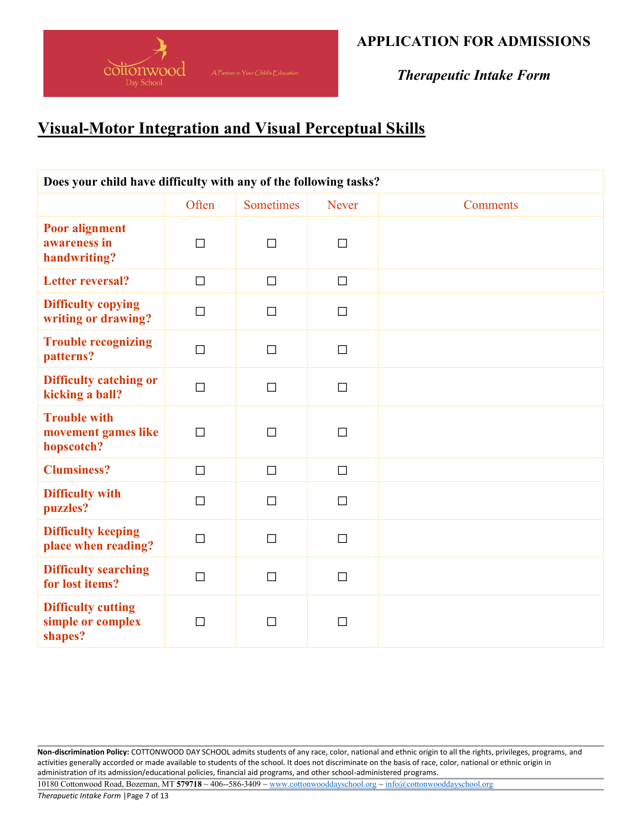

Therapeutic Intake Form

# Visual-Motor Integration and Visual Perceptual Skills

| Does your child have difficulty with any of the following tasks? |        |           |              |                 |  |  |
|------------------------------------------------------------------|--------|-----------|--------------|-----------------|--|--|
|                                                                  | Often  | Sometimes | Never        | <b>Comments</b> |  |  |
| <b>Poor alignment</b><br>awareness in<br>handwriting?            | $\Box$ | $\Box$    | $\Box$       |                 |  |  |
| <b>Letter reversal?</b>                                          | $\Box$ | $\Box$    | $\Box$       |                 |  |  |
| <b>Difficulty copying</b><br>writing or drawing?                 | $\Box$ | $\Box$    | $\Box$       |                 |  |  |
| <b>Trouble recognizing</b><br>patterns?                          | $\Box$ | $\Box$    | $\Box$       |                 |  |  |
| <b>Difficulty catching or</b><br>kicking a ball?                 | $\Box$ | $\Box$    | $\Box$       |                 |  |  |
| <b>Trouble with</b><br>movement games like<br>hopscotch?         | $\Box$ | $\Box$    | $\Box$       |                 |  |  |
| <b>Clumsiness?</b>                                               | $\Box$ | $\Box$    | $\Box$       |                 |  |  |
| <b>Difficulty with</b><br>puzzles?                               | $\Box$ | $\Box$    | $\Box$       |                 |  |  |
| <b>Difficulty keeping</b><br>place when reading?                 | $\Box$ | $\Box$    | $\Box$       |                 |  |  |
| <b>Difficulty searching</b><br>for lost items?                   | $\Box$ | $\Box$    | $\Box$       |                 |  |  |
| <b>Difficulty cutting</b><br>simple or complex<br>shapes?        | П      | П         | $\mathsf{L}$ |                 |  |  |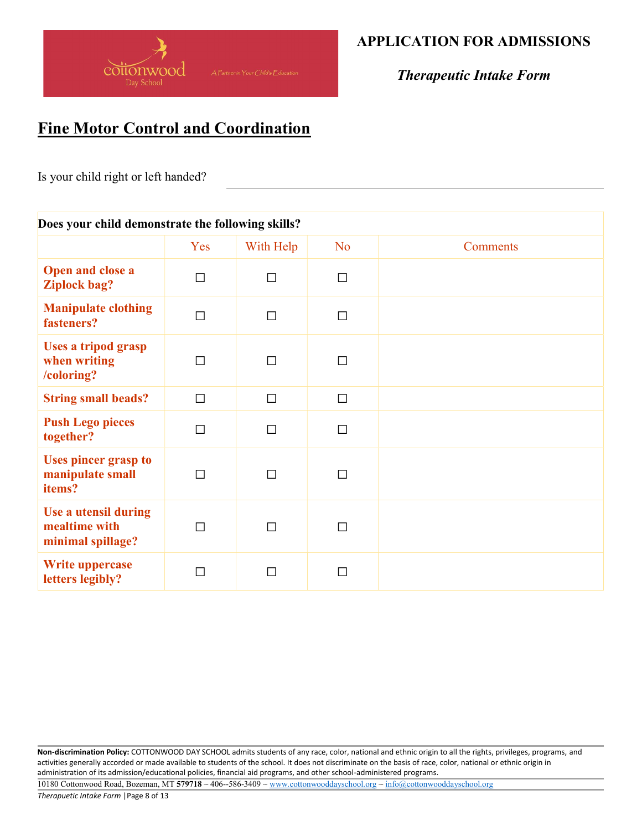

Therapeutic Intake Form

# Fine Motor Control and Coordination

Is your child right or left handed?

### Does your child demonstrate the following skills?

|                                                            | Yes    | With Help | N <sub>o</sub> | Comments |
|------------------------------------------------------------|--------|-----------|----------------|----------|
| Open and close a<br><b>Ziplock bag?</b>                    | $\Box$ | $\Box$    | $\Box$         |          |
| <b>Manipulate clothing</b><br>fasteners?                   | П      | $\Box$    | $\Box$         |          |
| <b>Uses a tripod grasp</b><br>when writing<br>/coloring?   | П      | $\Box$    | П              |          |
| <b>String small beads?</b>                                 | $\Box$ | $\Box$    | $\Box$         |          |
| <b>Push Lego pieces</b><br>together?                       | $\Box$ | $\Box$    | $\Box$         |          |
| <b>Uses pincer grasp to</b><br>manipulate small<br>items?  | П      | $\Box$    | $\Box$         |          |
| Use a utensil during<br>mealtime with<br>minimal spillage? | П      | $\Box$    | П              |          |
| <b>Write uppercase</b><br>letters legibly?                 | П      | П         | П              |          |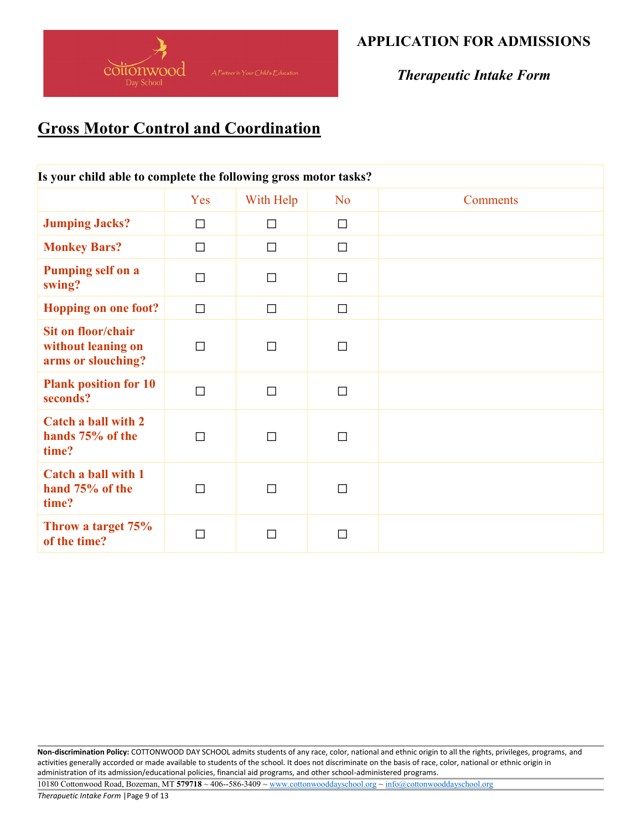

Therapeutic Intake Form

# **Gross Motor Control and Coordination**

| Is your child able to complete the following gross motor tasks? |        |           |                |                 |  |  |
|-----------------------------------------------------------------|--------|-----------|----------------|-----------------|--|--|
|                                                                 | Yes    | With Help | N <sub>o</sub> | <b>Comments</b> |  |  |
| <b>Jumping Jacks?</b>                                           | П      | $\Box$    | $\Box$         |                 |  |  |
| <b>Monkey Bars?</b>                                             | $\Box$ | $\Box$    | $\Box$         |                 |  |  |
| <b>Pumping self on a</b><br>swing?                              | П      | $\Box$    | $\Box$         |                 |  |  |
| <b>Hopping on one foot?</b>                                     | $\Box$ | $\Box$    | $\Box$         |                 |  |  |
| Sit on floor/chair<br>without leaning on<br>arms or slouching?  | П      | П         | П              |                 |  |  |
| <b>Plank position for 10</b><br>seconds?                        | П      | $\Box$    | $\Box$         |                 |  |  |
| <b>Catch a ball with 2</b><br>hands 75% of the<br>time?         | П      | П         | $\Box$         |                 |  |  |
| Catch a ball with 1<br>hand 75% of the<br>time?                 | П      | П         | $\Box$         |                 |  |  |
| Throw a target 75%<br>of the time?                              | П      | П         | $\Box$         |                 |  |  |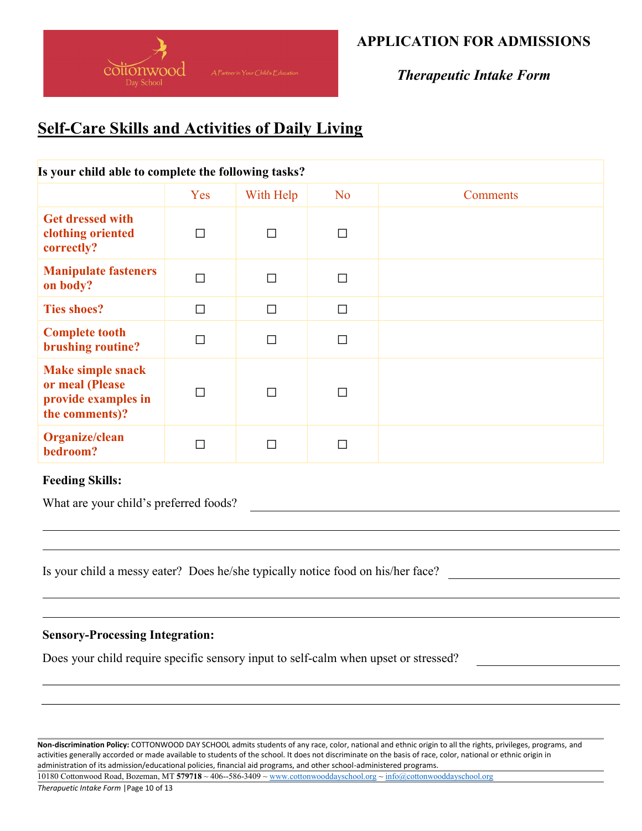

Therapeutic Intake Form

# Self-Care Skills and Activities of Daily Living

| Is your child able to complete the following tasks?                                  |     |           |           |                 |  |  |
|--------------------------------------------------------------------------------------|-----|-----------|-----------|-----------------|--|--|
|                                                                                      | Yes | With Help | <b>No</b> | <b>Comments</b> |  |  |
| <b>Get dressed with</b><br>clothing oriented<br>correctly?                           | П   | П         | П         |                 |  |  |
| <b>Manipulate fasteners</b><br>on body?                                              |     | $\Box$    | П         |                 |  |  |
| <b>Ties shoes?</b>                                                                   | П   | $\Box$    | $\Box$    |                 |  |  |
| <b>Complete tooth</b><br>brushing routine?                                           |     | П         | $\Box$    |                 |  |  |
| <b>Make simple snack</b><br>or meal (Please<br>provide examples in<br>the comments)? |     | $\Box$    | $\Box$    |                 |  |  |
| Organize/clean<br>bedroom?                                                           |     |           | П         |                 |  |  |

#### Feeding Skills:

What are your child's preferred foods?

Is your child a messy eater? Does he/she typically notice food on his/her face?

#### Sensory-Processing Integration:

Does your child require specific sensory input to self-calm when upset or stressed?

Non-discrimination Policy: COTTONWOOD DAY SCHOOL admits students of any race, color, national and ethnic origin to all the rights, privileges, programs, and activities generally accorded or made available to students of the school. It does not discriminate on the basis of race, color, national or ethnic origin in administration of its admission/educational policies, financial aid programs, and other school-administered programs.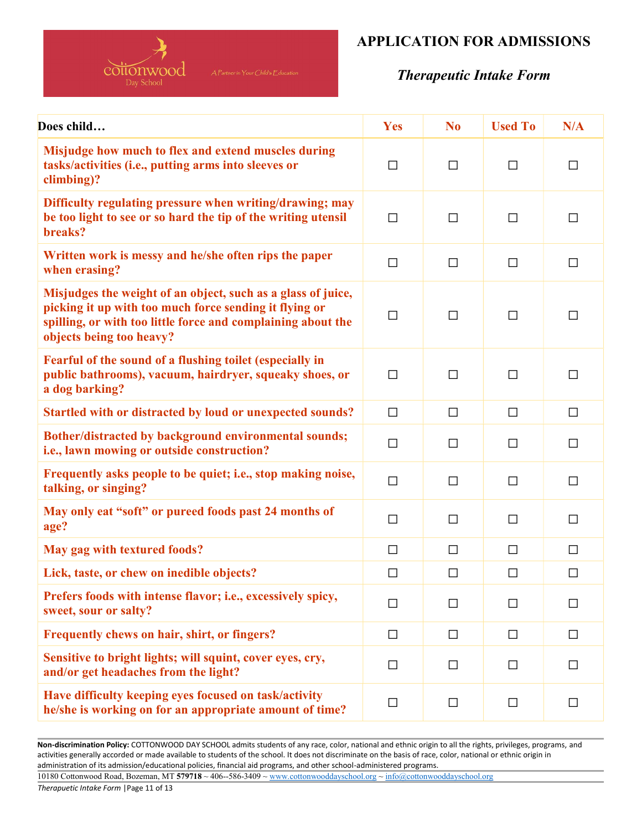

## Therapeutic Intake Form

| Does child                                                                                                                                                                                                         | Yes    | N <sub>0</sub> | <b>Used To</b> | N/A    |
|--------------------------------------------------------------------------------------------------------------------------------------------------------------------------------------------------------------------|--------|----------------|----------------|--------|
| Misjudge how much to flex and extend muscles during<br>tasks/activities (i.e., putting arms into sleeves or<br>climbing)?                                                                                          | $\Box$ | $\Box$         | $\Box$         | $\Box$ |
| Difficulty regulating pressure when writing/drawing; may<br>be too light to see or so hard the tip of the writing utensil<br>breaks?                                                                               | $\Box$ | $\Box$         | $\Box$         | $\Box$ |
| Written work is messy and he/she often rips the paper<br>when erasing?                                                                                                                                             | $\Box$ | $\Box$         | $\Box$         | $\Box$ |
| Misjudges the weight of an object, such as a glass of juice,<br>picking it up with too much force sending it flying or<br>spilling, or with too little force and complaining about the<br>objects being too heavy? | $\Box$ | $\Box$         | $\Box$         | $\Box$ |
| Fearful of the sound of a flushing toilet (especially in<br>public bathrooms), vacuum, hairdryer, squeaky shoes, or<br>a dog barking?                                                                              | $\Box$ | $\Box$         | $\Box$         | $\Box$ |
| Startled with or distracted by loud or unexpected sounds?                                                                                                                                                          | $\Box$ | $\Box$         | $\Box$         | $\Box$ |
| Bother/distracted by background environmental sounds;<br>i.e., lawn mowing or outside construction?                                                                                                                | $\Box$ | $\Box$         | $\Box$         | $\Box$ |
| Frequently asks people to be quiet; i.e., stop making noise,<br>talking, or singing?                                                                                                                               | $\Box$ | $\Box$         | $\Box$         | $\Box$ |
| May only eat "soft" or pureed foods past 24 months of<br>age?                                                                                                                                                      | $\Box$ | $\Box$         | $\Box$         | $\Box$ |
| May gag with textured foods?                                                                                                                                                                                       | $\Box$ | □              | □              | □      |
| Lick, taste, or chew on inedible objects?                                                                                                                                                                          | $\Box$ | $\Box$         | $\Box$         | $\Box$ |
| Prefers foods with intense flavor; i.e., excessively spicy,<br>sweet, sour or salty?                                                                                                                               | $\Box$ | $\Box$         | $\Box$         | П      |
| Frequently chews on hair, shirt, or fingers?                                                                                                                                                                       | $\Box$ | $\Box$         | $\Box$         | $\Box$ |
| Sensitive to bright lights; will squint, cover eyes, cry,<br>and/or get headaches from the light?                                                                                                                  | $\Box$ | $\Box$         | $\Box$         | П      |
| Have difficulty keeping eyes focused on task/activity<br>he/she is working on for an appropriate amount of time?                                                                                                   | $\Box$ | $\Box$         | $\Box$         | $\Box$ |

Non-discrimination Policy: COTTONWOOD DAY SCHOOL admits students of any race, color, national and ethnic origin to all the rights, privileges, programs, and activities generally accorded or made available to students of the school. It does not discriminate on the basis of race, color, national or ethnic origin in administration of its admission/educational policies, financial aid programs, and other school-administered programs.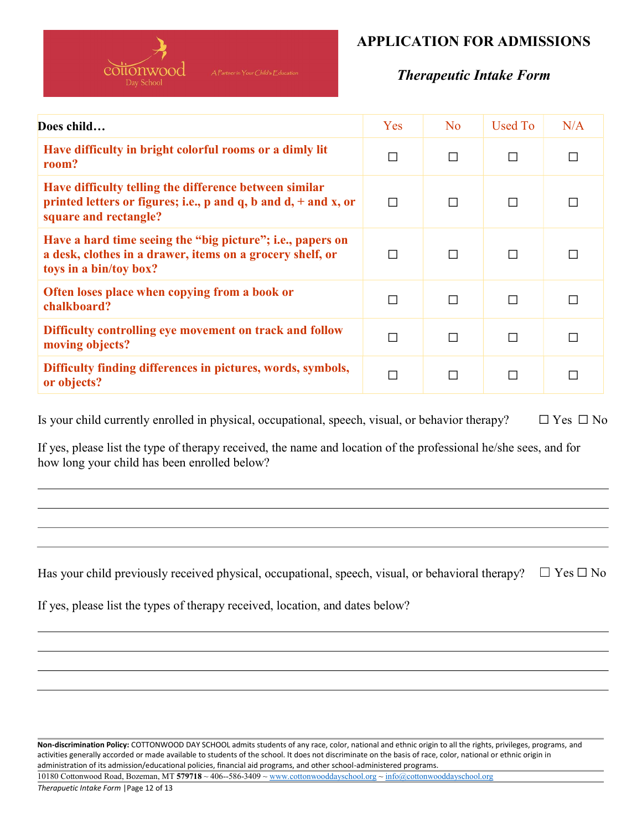

### Therapeutic Intake Form

| Does child                                                                                                                                                        | Yes | N <sub>o</sub> | Used To | N/A |
|-------------------------------------------------------------------------------------------------------------------------------------------------------------------|-----|----------------|---------|-----|
| Have difficulty in bright colorful rooms or a dimly lit<br>room?                                                                                                  | П   | П              | П       | П   |
| Have difficulty telling the difference between similar<br>printed letters or figures; i.e., $p$ and $q$ , $b$ and $d$ , $+$ and $x$ , or<br>square and rectangle? | П   | П              | П       |     |
| Have a hard time seeing the "big picture"; i.e., papers on<br>a desk, clothes in a drawer, items on a grocery shelf, or<br>toys in a bin/toy box?                 |     | Г              | П       |     |
| Often loses place when copying from a book or<br>chalkboard?                                                                                                      |     | Г              | П       |     |
| Difficulty controlling eye movement on track and follow<br>moving objects?                                                                                        |     | П              | П       |     |
| Difficulty finding differences in pictures, words, symbols,<br>or objects?                                                                                        |     | П              | П       |     |

Is your child currently enrolled in physical, occupational, speech, visual, or behavior therapy?  $□$  Yes  $□$  No

If yes, please list the type of therapy received, the name and location of the professional he/she sees, and for how long your child has been enrolled below?

Has your child previously received physical, occupational, speech, visual, or behavioral therapy?  $\Box$  Yes  $\Box$  No

If yes, please list the types of therapy received, location, and dates below?